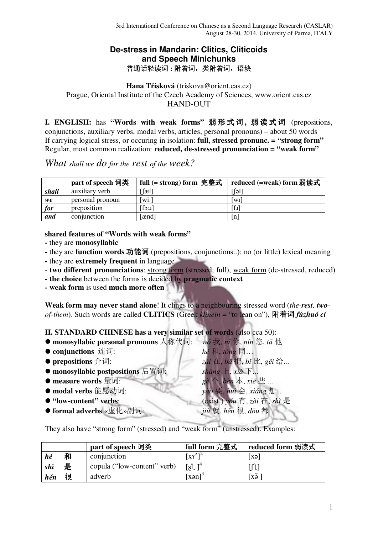## **De-stress in Mandarin: Clitics, Cliticoids and Speech Minichunks**  普通话轻读词 **:** 附着词,类附着词,语块

## **Hana Třísková** (triskova@orient.cas.cz) Prague, Oriental Institute of the Czech Academy of Sciences, www.orient.cas.cz HAND-OUT

**I. ENGLISH:** has **"Words with weak forms"** 弱 形 式 词**,** 弱 读 式 词 (prepositions, conjunctions, auxiliary verbs, modal verbs, articles, personal pronouns) – about 50 words If carrying logical stress, or occuring in isolation: **full, stressed pronunc. = "strong form"**  Regular, most common realization: **reduced, de-stressed pronunciation = "weak form"** 

*What shall we do for the rest of the week?* 

|       | part of speech 词类 | full (= strong) form 完整式 | reduced (=weak) form 弱读式 |
|-------|-------------------|--------------------------|--------------------------|
| shall | auxiliary verb    | $\lceil$ æl]             | [[ə]]                    |
| we    | personal pronoun  | $w$ i:                   | [wɪ]                     |
| for   | preposition       | $[t:\mathsf{c}1]$        | [f.j]                    |
| and   | conjunction       | [ænd]                    | n                        |

**shared features of "Words with weak forms"** 

- they are **monosyllabic**
- they are **function words** 功能词 (prepositions, conjunctions..): no (or little) lexical meaning
- they are **extremely frequent** in language
- **two different pronunciations**: strong form (stressed, full), weak form (de-stressed, reduced)
- **the choice** between the forms is decided by **pragmatic context**
- **weak form** is used **much more often**

**Weak form may never stand alone**! It clings to a neighbouring stressed word (*the-rest, twoof-them*). Such words are called **CLITICS** (Greek *klinein* = "to lean on"), 附着词 *fùzhuó cí* 

**II. STANDARD CHINESE has a very similar set of words** (also cca 50):

- **monosyllabic personal pronouns** 人称代词: *wǒ* 我, *nǐ* 你, *nín* 您, *tā* 他
- conjunctions 连词:<br>● *hé* 和, *tóng* 同…
- 
- **monosyllabic postpositions** 后置词:*shàng* 上, *xià* 下...
- measure words 量词: **gè** 个, běn 本, xiē 些 ...
- 
- 
- **formal adverbs** «虚化»副词:*jiù* 就, *hěn* 很, *dōu* 都

● prepositions 介词:  $\frac{1}{2}$  *zài* 在, bǎ 把, bǐ 比, gěi 给... ● modal verbs 能愿动词: *yào* 要, *huì* 会, *xiǎng* 想... ● "low-content" verbs: (exist.) *yǒu* 有, *zài* 在, *shì* 是

They also have "strong form" (stressed) and "weak form" (unstressed). Examples:

|     |   | <sup>1</sup> part of speech 词类 | full form 完整式                       | reduced form 弱读式                 |
|-----|---|--------------------------------|-------------------------------------|----------------------------------|
| hé  | 和 | conjunction                    | $\left[xx^{\prime}\right]^{2}$      | xa                               |
| shì | 是 | copula ("low-content" verb)    | $[s]$ : <sup>14</sup>               |                                  |
| hěn | 很 | adverb                         | $\lceil x \cdot \text{an} \rceil^3$ | $\lceil x \tilde{\Theta} \rceil$ |